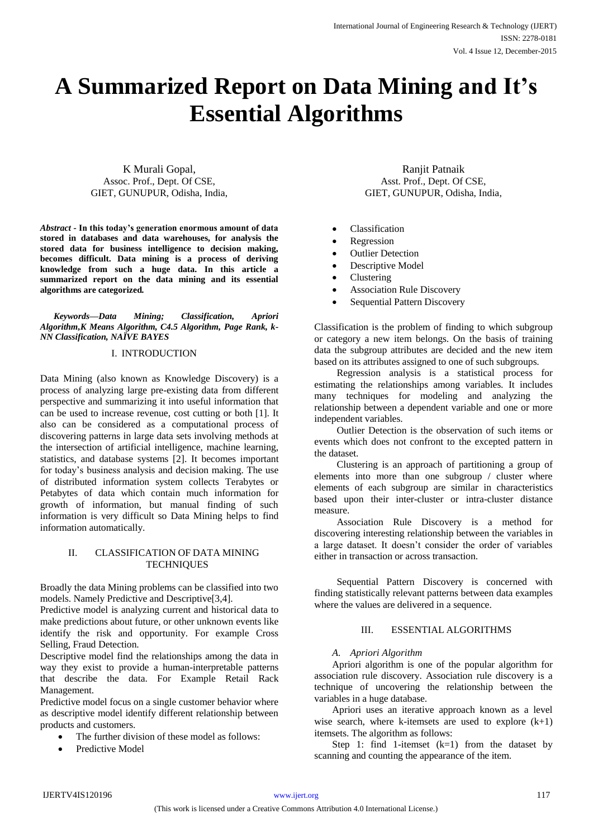# **A Summarized Report on Data Mining and It's Essential Algorithms**

K Murali Gopal, Assoc. Prof., Dept. Of CSE, GIET, GUNUPUR, Odisha, India,

*Abstract -* **In this today's generation enormous amount of data stored in databases and data warehouses, for analysis the stored data for business intelligence to decision making, becomes difficult. Data mining is a process of deriving knowledge from such a huge data. In this article a summarized report on the data mining and its essential algorithms are categorized***.* 

*Keywords—Data Mining; Classification, Apriori Algorithm,K Means Algorithm, C4.5 Algorithm, Page Rank, k-NN Classification, NAÏVE BAYES*

#### I. INTRODUCTION

Data Mining (also known as Knowledge Discovery) is a process of analyzing large pre-existing data from different perspective and summarizing it into useful information that can be used to increase revenue, cost cutting or both [1]. It also can be considered as a computational process of discovering patterns in large data sets involving methods at the intersection of artificial intelligence, machine learning, statistics, and database systems [2]. It becomes important for today's business analysis and decision making. The use of distributed information system collects Terabytes or Petabytes of data which contain much information for growth of information, but manual finding of such information is very difficult so Data Mining helps to find information automatically.

#### II. CLASSIFICATION OF DATA MINING **TECHNIQUES**

Broadly the data Mining problems can be classified into two models. Namely Predictive and Descriptive[3,4].

Predictive model is analyzing current and historical data to make predictions about future, or other unknown events like identify the risk and opportunity. For example Cross Selling, Fraud Detection.

Descriptive model find the relationships among the data in way they exist to provide a human-interpretable patterns that describe the data. For Example Retail Rack Management.

Predictive model focus on a single customer behavior where as descriptive model identify different relationship between products and customers.

- The further division of these model as follows:
- Predictive Model

Ranjit Patnaik Asst. Prof., Dept. Of CSE, GIET, GUNUPUR, Odisha, India,

- Classification
- Regression
- Outlier Detection
- Descriptive Model
- Clustering
- Association Rule Discovery
- Sequential Pattern Discovery

Classification is the problem of finding to which subgroup or category a new item belongs. On the basis of training data the subgroup attributes are decided and the new item based on its attributes assigned to one of such subgroups.

Regression analysis is a statistical process for estimating the relationships among variables. It includes many techniques for modeling and analyzing the relationship between a dependent variable and one or more independent variables.

Outlier Detection is the observation of such items or events which does not confront to the excepted pattern in the dataset.

Clustering is an approach of partitioning a group of elements into more than one subgroup / cluster where elements of each subgroup are similar in characteristics based upon their inter-cluster or intra-cluster distance measure.

Association Rule Discovery is a method for discovering interesting relationship between the variables in a large dataset. It doesn't consider the order of variables either in transaction or across transaction.

Sequential Pattern Discovery is concerned with finding statistically relevant patterns between data examples where the values are delivered in a sequence.

#### III. ESSENTIAL ALGORITHMS

#### *A. Apriori Algorithm*

Apriori algorithm is one of the popular algorithm for association rule discovery. Association rule discovery is a technique of uncovering the relationship between the variables in a huge database.

Apriori uses an iterative approach known as a level wise search, where k-itemsets are used to explore  $(k+1)$ itemsets. The algorithm as follows:

Step 1: find 1-itemset  $(k=1)$  from the dataset by scanning and counting the appearance of the item.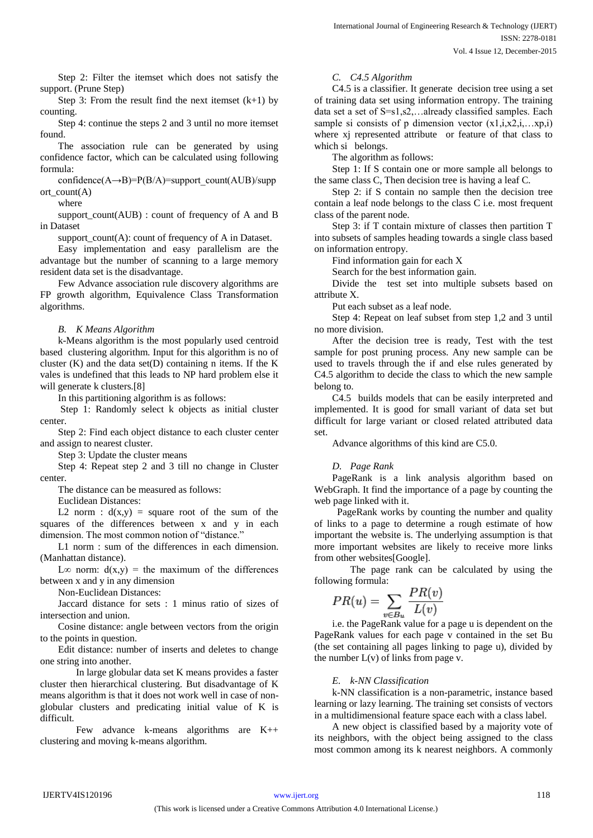Step 2: Filter the itemset which does not satisfy the support. (Prune Step)

Step 3: From the result find the next itemset  $(k+1)$  by counting.

Step 4: continue the steps 2 and 3 until no more itemset found.

The association rule can be generated by using confidence factor, which can be calculated using following formula:

confidence( $A \rightarrow B$ )=P( $B/A$ )=support\_count( $AUB$ )/supp ort\_count(A)

where

support  $count(AUB)$ : count of frequency of A and B in Dataset

support  $count(A)$ : count of frequency of A in Dataset.

Easy implementation and easy parallelism are the advantage but the number of scanning to a large memory resident data set is the disadvantage.

Few Advance association rule discovery algorithms are FP growth algorithm, Equivalence Class Transformation algorithms.

### *B. K Means Algorithm*

k-Means algorithm is the most popularly used centroid based clustering algorithm. Input for this algorithm is no of cluster  $(K)$  and the data set $(D)$  containing n items. If the K vales is undefined that this leads to NP hard problem else it will generate k clusters.[8]

In this partitioning algorithm is as follows:

Step 1: Randomly select k objects as initial cluster center.

Step 2: Find each object distance to each cluster center and assign to nearest cluster.

Step 3: Update the cluster means

Step 4: Repeat step 2 and 3 till no change in Cluster center.

The distance can be measured as follows:

Euclidean Distances:

L2 norm :  $d(x,y)$  = square root of the sum of the squares of the differences between x and y in each dimension. The most common notion of "distance."

L1 norm : sum of the differences in each dimension. (Manhattan distance).

L∞ norm:  $d(x,y) =$  the maximum of the differences between x and y in any dimension

Non-Euclidean Distances:

Jaccard distance for sets : 1 minus ratio of sizes of intersection and union.

Cosine distance: angle between vectors from the origin to the points in question.

Edit distance: number of inserts and deletes to change one string into another.

In large globular data set K means provides a faster cluster then hierarchical clustering. But disadvantage of K means algorithm is that it does not work well in case of nonglobular clusters and predicating initial value of K is difficult.

Few advance k-means algorithms are K++ clustering and moving k-means algorithm.

### *C. C4.5 Algorithm*

C4.5 is a classifier. It generate decision tree using a set of training data set using information entropy. The training data set a set of S=s1,s2,…already classified samples. Each sample si consists of p dimension vector  $(x1,i,x2,i,...,xp,i)$ where xj represented attribute or feature of that class to which si belongs.

The algorithm as follows:

Step 1: If S contain one or more sample all belongs to the same class C, Then decision tree is having a leaf C.

Step 2: if S contain no sample then the decision tree contain a leaf node belongs to the class C i.e. most frequent class of the parent node.

Step 3: if T contain mixture of classes then partition T into subsets of samples heading towards a single class based on information entropy.

Find information gain for each X

Search for the best information gain.

Divide the test set into multiple subsets based on attribute X.

Put each subset as a leaf node.

Step 4: Repeat on leaf subset from step 1,2 and 3 until no more division.

After the decision tree is ready, Test with the test sample for post pruning process. Any new sample can be used to travels through the if and else rules generated by C4.5 algorithm to decide the class to which the new sample belong to.

C4.5 builds models that can be easily interpreted and implemented. It is good for small variant of data set but difficult for large variant or closed related attributed data set.

Advance algorithms of this kind are C5.0.

### *D. Page Rank*

PageRank is a link analysis algorithm based on WebGraph. It find the importance of a page by counting the web page linked with it.

 PageRank works by counting the number and quality of links to a page to determine a rough estimate of how important the website is. The underlying assumption is that more important websites are likely to receive more links from other websites[Google].

The page rank can be calculated by using the following formula:

$$
PR(u) = \sum_{v \in B_u} \frac{PR(v)}{L(v)}
$$

i.e. the PageRank value for a page u is dependent on the PageRank values for each page v contained in the set Bu (the set containing all pages linking to page u), divided by the number  $L(v)$  of links from page v.

### *E. k-NN Classification*

k-NN classification is a non-parametric, instance based learning or lazy learning. The training set consists of vectors in a multidimensional feature space each with a class label.

A new object is classified based by a majority vote of its neighbors, with the object being assigned to the class most common among its k nearest neighbors. A commonly